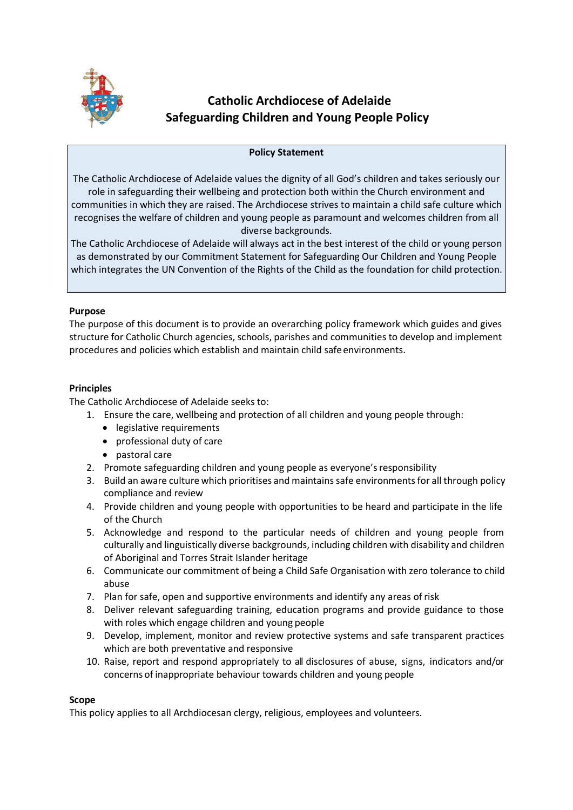

# **Catholic Archdiocese of Adelaide Safeguarding Children and Young People Policy**

# **Policy Statement**

The Catholic Archdiocese of Adelaide values the dignity of all God's children and takes seriously our role in safeguarding their wellbeing and protection both within the Church environment and communities in which they are raised. The Archdiocese strives to maintain a child safe culture which recognises the welfare of children and young people as paramount and welcomes children from all diverse backgrounds.

The Catholic Archdiocese of Adelaide will always act in the best interest of the child or young person as demonstrated by our Commitment Statement for Safeguarding Our Children and Young People which integrates the UN Convention of the Rights of the Child as the foundation for child protection.

# **Purpose**

The purpose of this document is to provide an overarching policy framework which guides and gives structure for Catholic Church agencies, schools, parishes and communities to develop and implement procedures and policies which establish and maintain child safeenvironments.

# **Principles**

The Catholic Archdiocese of Adelaide seeks to:

- 1. Ensure the care, wellbeing and protection of all children and young people through:
	- legislative requirements
	- professional duty of care
	- pastoral care
- 2. Promote safeguarding children and young people as everyone's responsibility
- 3. Build an aware culture which prioritises and maintainssafe environmentsfor all through policy compliance and review
- 4. Provide children and young people with opportunities to be heard and participate in the life of the Church
- 5. Acknowledge and respond to the particular needs of children and young people from culturally and linguistically diverse backgrounds, including children with disability and children of Aboriginal and Torres Strait Islander heritage
- 6. Communicate our commitment of being a Child Safe Organisation with zero tolerance to child abuse
- 7. Plan for safe, open and supportive environments and identify any areas ofrisk
- 8. Deliver relevant safeguarding training, education programs and provide guidance to those with roles which engage children and young people
- 9. Develop, implement, monitor and review protective systems and safe transparent practices which are both preventative and responsive
- 10. Raise, report and respond appropriately to all disclosures of abuse, signs, indicators and/or concerns of inappropriate behaviour towards children and young people

## **Scope**

This policy applies to all Archdiocesan clergy, religious, employees and volunteers.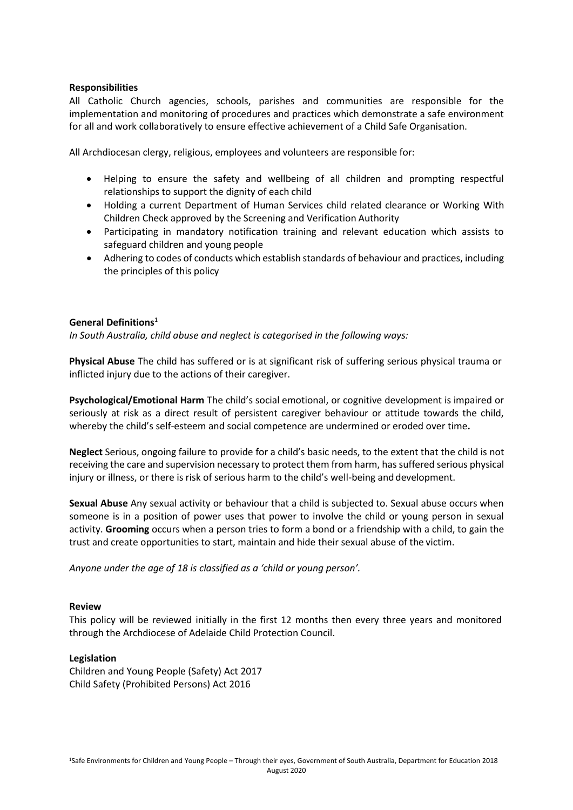## **Responsibilities**

All Catholic Church agencies, schools, parishes and communities are responsible for the implementation and monitoring of procedures and practices which demonstrate a safe environment for all and work collaboratively to ensure effective achievement of a Child Safe Organisation.

All Archdiocesan clergy, religious, employees and volunteers are responsible for:

- Helping to ensure the safety and wellbeing of all children and prompting respectful relationships to support the dignity of each child
- Holding a current Department of Human Services child related clearance or Working With Children Check approved by the Screening and Verification Authority
- Participating in mandatory notification training and relevant education which assists to safeguard children and young people
- Adhering to codes of conducts which establish standards of behaviour and practices, including the principles of this policy

### **General Definitions**<sup>1</sup>

*In South Australia, child abuse and neglect is categorised in the following ways:*

**Physical Abuse** The child has suffered or is at significant risk of suffering serious physical trauma or inflicted injury due to the actions of their caregiver.

**Psychological/Emotional Harm** The child's social emotional, or cognitive development is impaired or seriously at risk as a direct result of persistent caregiver behaviour or attitude towards the child, whereby the child's self-esteem and social competence are undermined or eroded over time**.**

**Neglect** Serious, ongoing failure to provide for a child's basic needs, to the extent that the child is not receiving the care and supervision necessary to protect them from harm, hassuffered serious physical injury or illness, or there is risk of serious harm to the child's well-being and development.

**Sexual Abuse** Any sexual activity or behaviour that a child is subjected to. Sexual abuse occurs when someone is in a position of power uses that power to involve the child or young person in sexual activity. **Grooming** occurs when a person tries to form a bond or a friendship with a child, to gain the trust and create opportunities to start, maintain and hide their sexual abuse of the victim.

*Anyone under the age of 18 is classified as a 'child or young person'.*

### **Review**

This policy will be reviewed initially in the first 12 months then every three years and monitored through the Archdiocese of Adelaide Child Protection Council.

### **Legislation**

Children and Young People (Safety) Act 2017 Child Safety (Prohibited Persons) Act 2016